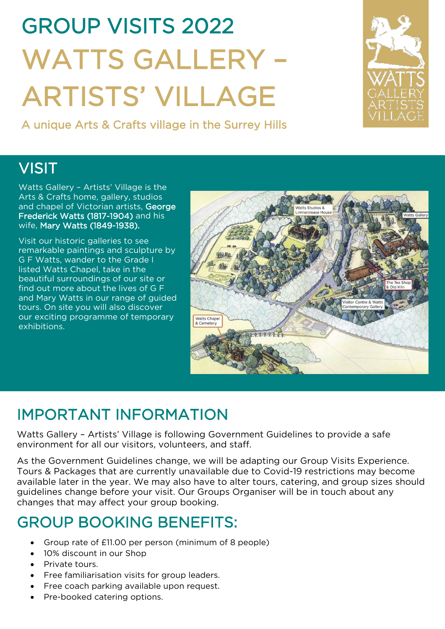# GROUP VISITS 2022 WATTS GALLERY – ARTISTS' VILLAGE<br>A unique Arts & Crafts village in the Surrey Hills

# $\overline{a}$ **VISIT**

Watts Gallery – Artists' Village is the Arts & Crafts home, gallery, studios and chapel of Victorian artists, George Frederick Watts (1817-1904) and his wife, Mary Watts (1849-1938).

Visit our historic galleries to see remarkable paintings and sculpture by G F Watts, wander to the Grade I listed Watts Chapel, take in the beautiful surroundings of our site or find out more about the lives of G F and Mary Watts in our range of guided tours. On site you will also discover our exciting programme of temporary exhibitions.



# IMPORTANT INFORMATION

Watts Gallery – Artists' Village is following Government Guidelines to provide a safe environment for all our visitors, volunteers, and staff.

As the Government Guidelines change, we will be adapting our Group Visits Experience. Tours & Packages that are currently unavailable due to Covid-19 restrictions may become available later in the year. We may also have to alter tours, catering, and group sizes should guidelines change before your visit. Our Groups Organiser will be in touch about any changes that may affect your group booking.

## GROUP BOOKING BENEFITS:

- Group rate of £11.00 per person (minimum of 8 people)
- 10% discount in our Shop
- Private tours.
- Free familiarisation visits for group leaders.
- Free coach parking available upon request.
- Pre-booked catering options.

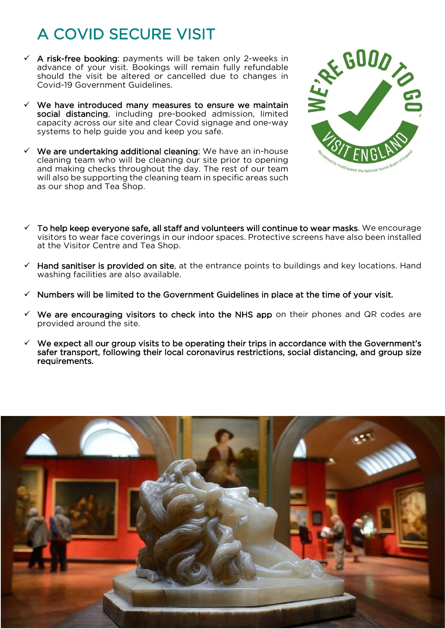# A COVID SECURE VISIT

- $\checkmark$  A risk-free booking: payments will be taken only 2-weeks in advance of your visit. Bookings will remain fully refundable should the visit be altered or cancelled due to changes in Covid-19 Government Guidelines.
- $\checkmark$  We have introduced many measures to ensure we maintain social distancing, including pre-booked admission, limited capacity across our site and clear Covid signage and one-way systems to help guide you and keep you safe.
- $\checkmark$  We are undertaking additional cleaning; We have an in-house cleaning team who will be cleaning our site prior to opening and making checks throughout the day. The rest of our team will also be supporting the cleaning team in specific areas such as our shop and Tea Shop.



- $\checkmark$  To help keep everyone safe, all staff and volunteers will continue to wear masks. We encourage visitors to wear face coverings in our indoor spaces. Protective screens have also been installed at the Visitor Centre and Tea Shop.
- $\checkmark$  Hand sanitiser is provided on site, at the entrance points to buildings and key locations. Hand washing facilities are also available.
- Numbers will be limited to the Government Guidelines in place at the time of your visit.
- $\checkmark$  We are encouraging visitors to check into the NHS app on their phones and QR codes are provided around the site.
- $\checkmark$  We expect all our group visits to be operating their trips in accordance with the Government's safer transport, following their local coronavirus restrictions, social distancing, and group size requirements.

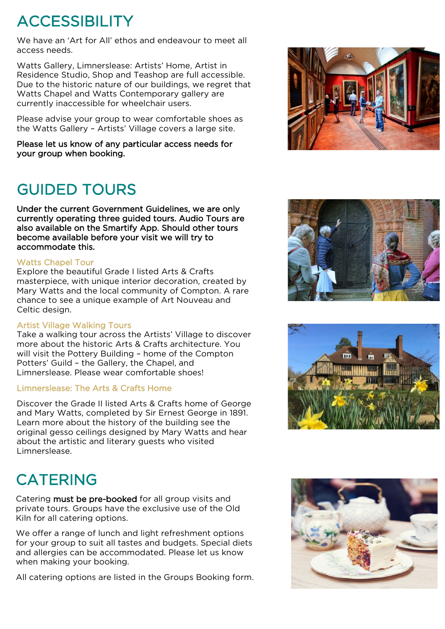# ACCESSIBILITY

We have an 'Art for All' ethos and endeavour to meet all access needs.

Watts Gallery, Limnerslease: Artists' Home, Artist in Residence Studio, Shop and Teashop are full accessible. Due to the historic nature of our buildings, we regret that Watts Chapel and Watts Contemporary gallery are currently inaccessible for wheelchair users.

Please advise your group to wear comfortable shoes as the Watts Gallery – Artists' Village covers a large site.

Please let us know of any particular access needs for your group when booking.

# GUIDED TOURS

Under the current Government Guidelines, we are only currently operating three guided tours. Audio Tours are also available on the Smartify App. Should other tours become available before your visit we will try to accommodate this.

### Watts Chapel Tour

Explore the beautiful Grade I listed Arts & Crafts masterpiece, with unique interior decoration, created by Mary Watts and the local community of Compton. A rare chance to see a unique example of Art Nouveau and Celtic design.

### Artist Village Walking Tours

Take a walking tour across the Artists' Village to discover more about the historic Arts & Crafts architecture. You will visit the Pottery Building – home of the Compton Potters' Guild – the Gallery, the Chapel, and Limnerslease. Please wear comfortable shoes!

### Limnerslease: The Arts & Crafts Home

Discover the Grade II listed Arts & Crafts home of George and Mary Watts, completed by Sir Ernest George in 1891. Learn more about the history of the building see the original gesso ceilings designed by Mary Watts and hear about the artistic and literary guests who visited Limnerslease.

# **CATERING**

Catering must be pre-booked for all group visits and private tours. Groups have the exclusive use of the Old Kiln for all catering options.

We offer a range of lunch and light refreshment options for your group to suit all tastes and budgets. Special diets and allergies can be accommodated. Please let us know when making your booking.

All catering options are listed in the Groups Booking form.